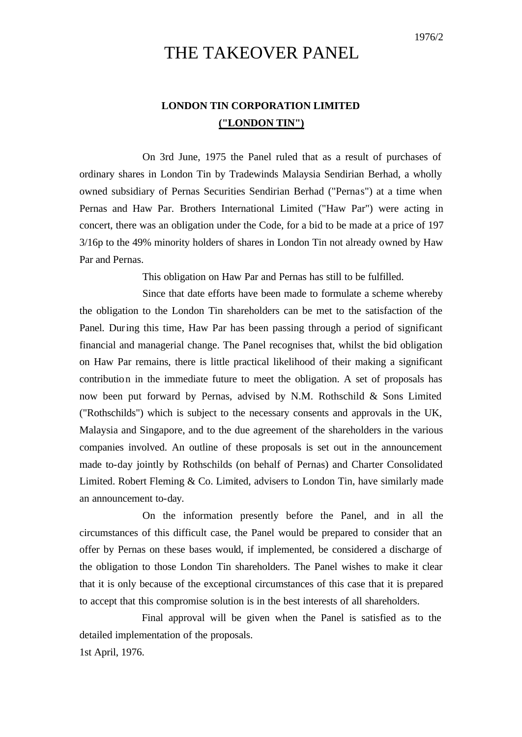## THE TAKEOVER PANEL

#### **LONDON TIN CORPORATION LIMITED ("LONDON TIN")**

On 3rd June, 1975 the Panel ruled that as a result of purchases of ordinary shares in London Tin by Tradewinds Malaysia Sendirian Berhad, a wholly owned subsidiary of Pernas Securities Sendirian Berhad ("Pernas") at a time when Pernas and Haw Par. Brothers International Limited ("Haw Par") were acting in concert, there was an obligation under the Code, for a bid to be made at a price of 197 3/16p to the 49% minority holders of shares in London Tin not already owned by Haw Par and Pernas.

This obligation on Haw Par and Pernas has still to be fulfilled.

Since that date efforts have been made to formulate a scheme whereby the obligation to the London Tin shareholders can be met to the satisfaction of the Panel. During this time, Haw Par has been passing through a period of significant financial and managerial change. The Panel recognises that, whilst the bid obligation on Haw Par remains, there is little practical likelihood of their making a significant contribution in the immediate future to meet the obligation. A set of proposals has now been put forward by Pernas, advised by N.M. Rothschild & Sons Limited ("Rothschilds") which is subject to the necessary consents and approvals in the UK, Malaysia and Singapore, and to the due agreement of the shareholders in the various companies involved. An outline of these proposals is set out in the announcement made to-day jointly by Rothschilds (on behalf of Pernas) and Charter Consolidated Limited. Robert Fleming & Co. Limited, advisers to London Tin, have similarly made an announcement to-day.

On the information presently before the Panel, and in all the circumstances of this difficult case, the Panel would be prepared to consider that an offer by Pernas on these bases would, if implemented, be considered a discharge of the obligation to those London Tin shareholders. The Panel wishes to make it clear that it is only because of the exceptional circumstances of this case that it is prepared to accept that this compromise solution is in the best interests of all shareholders.

Final approval will be given when the Panel is satisfied as to the detailed implementation of the proposals. 1st April, 1976.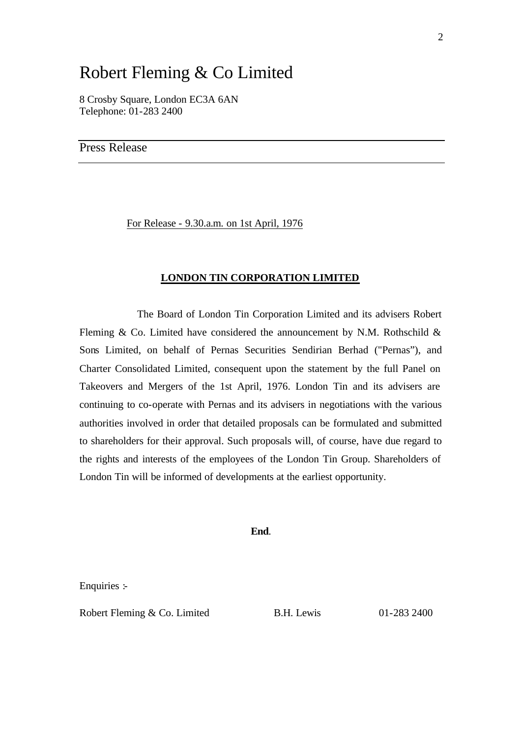# Robert Fleming & Co Limited

8 Crosby Square, London EC3A 6AN Telephone: 01-283 2400

Press Release

For Release - 9.30.a.m. on 1st April, 1976

#### **LONDON TIN CORPORATION LIMITED**

The Board of London Tin Corporation Limited and its advisers Robert Fleming & Co. Limited have considered the announcement by N.M. Rothschild  $\&$ Sons Limited, on behalf of Pernas Securities Sendirian Berhad ("Pernas"), and Charter Consolidated Limited, consequent upon the statement by the full Panel on Takeovers and Mergers of the 1st April, 1976. London Tin and its advisers are continuing to co-operate with Pernas and its advisers in negotiations with the various authorities involved in order that detailed proposals can be formulated and submitted to shareholders for their approval. Such proposals will, of course, have due regard to the rights and interests of the employees of the London Tin Group. Shareholders of London Tin will be informed of developments at the earliest opportunity.

**End**.

Enquiries :-

Robert Fleming & Co. Limited B.H. Lewis 01-283 2400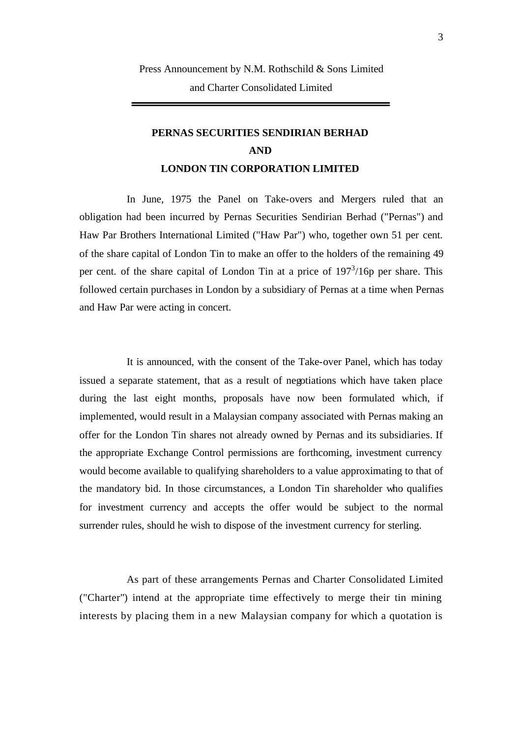### **PERNAS SECURITIES SENDIRIAN BERHAD AND LONDON TIN CORPORATION LIMITED**

In June, 1975 the Panel on Take-overs and Mergers ruled that an obligation had been incurred by Pernas Securities Sendirian Berhad ("Pernas") and Haw Par Brothers International Limited ("Haw Par") who, together own 51 per cent. of the share capital of London Tin to make an offer to the holders of the remaining 49 per cent. of the share capital of London Tin at a price of 197<sup>3</sup>/16p per share. This followed certain purchases in London by a subsidiary of Pernas at a time when Pernas and Haw Par were acting in concert.

It is announced, with the consent of the Take-over Panel, which has today issued a separate statement, that as a result of negotiations which have taken place during the last eight months, proposals have now been formulated which, if implemented, would result in a Malaysian company associated with Pernas making an offer for the London Tin shares not already owned by Pernas and its subsidiaries. If the appropriate Exchange Control permissions are forthcoming, investment currency would become available to qualifying shareholders to a value approximating to that of the mandatory bid. In those circumstances, a London Tin shareholder who qualifies for investment currency and accepts the offer would be subject to the normal surrender rules, should he wish to dispose of the investment currency for sterling.

As part of these arrangements Pernas and Charter Consolidated Limited ("Charter") intend at the appropriate time effectively to merge their tin mining interests by placing them in a new Malaysian company for which a quotation is